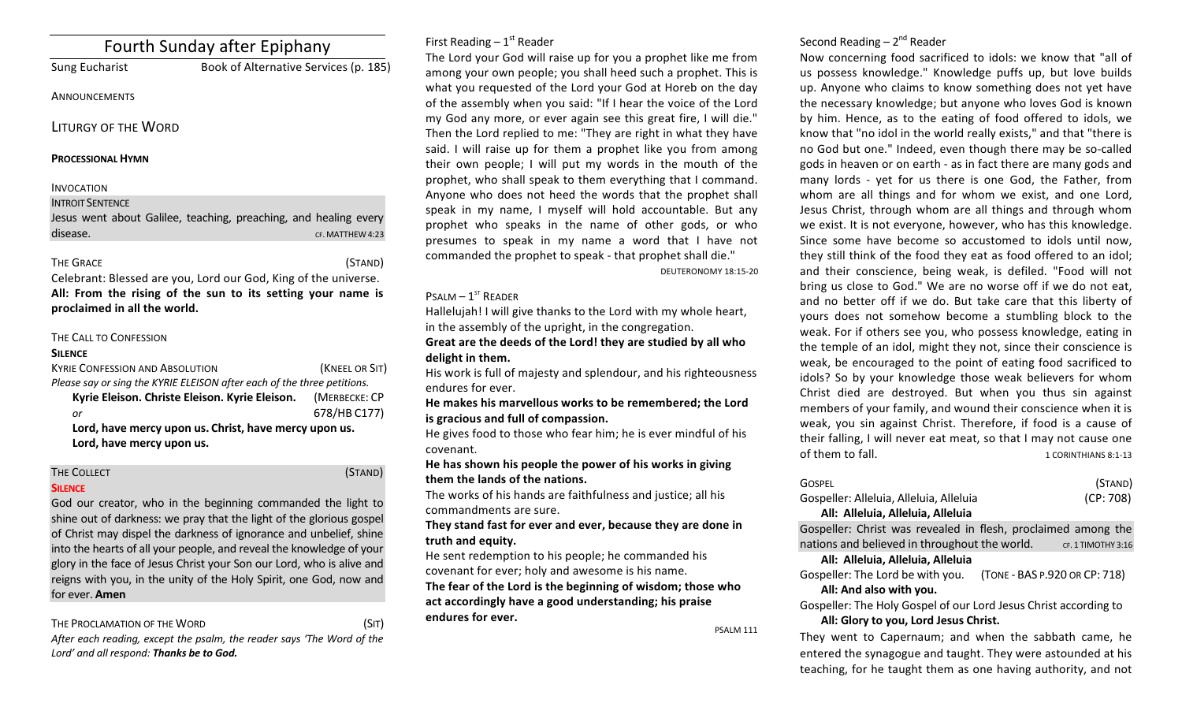# Fourth Sunday after Epiphany

Sung Eucharist Book of Alternative Services (p. 185)

## **ANNOUNCEMENTS**

LITURGY OF THE WORD

## **PROCESSIONAL HYMN**

## INVOCATION

## **INTROIT SENTENCE**

Jesus went about Galilee, teaching, preaching, and healing every disease. CF. MATTHEW 4:23

## THE GRACE (STAND)

Celebrant: Blessed are you, Lord our God, King of the universe. All: From the rising of the sun to its setting your name is proclaimed in all the world.

## THE CALL TO CONFESSION

## **SILENCE**

KYRIE CONFESSION AND ABSOLUTION *NATEL OR SIT* (*KNEEL OR SIT*) *Please say or sing the KYRIE ELEISON after each of the three petitions.* **Kyrie Eleison. Christe Eleison. Kyrie Eleison.** (MERBECKE: CP *or* 678/HB C177)

Lord, have mercy upon us. Christ, have mercy upon us. Lord, have mercy upon us.

## THE COLLECT **THE COLLECT COLLECT COLLECT COLLECT COLLECT COLLECT COLLECT COLLECT COLLECT COLLECT**

## **SILENCE**

God our creator, who in the beginning commanded the light to shine out of darkness: we pray that the light of the glorious gospel of Christ may dispel the darkness of ignorance and unbelief, shine into the hearts of all your people, and reveal the knowledge of your glory in the face of Jesus Christ your Son our Lord, who is alive and reigns with you, in the unity of the Holy Spirit, one God, now and for ever. **Amen** 

THE PROCLAMATION OF THE WORD (SIT) After each reading, except the psalm, the reader says 'The Word of the Lord' and all respond: Thanks be to God.

## First Reading  $-1<sup>st</sup>$  Reader

The Lord your God will raise up for you a prophet like me from among your own people; you shall heed such a prophet. This is what you requested of the Lord your God at Horeb on the day of the assembly when you said: "If I hear the voice of the Lord my God any more, or ever again see this great fire, I will die." Then the Lord replied to me: "They are right in what they have said. I will raise up for them a prophet like you from among their own people; I will put my words in the mouth of the prophet, who shall speak to them everything that I command. Anyone who does not heed the words that the prophet shall speak in my name, I myself will hold accountable. But any prophet who speaks in the name of other gods, or who presumes to speak in my name a word that I have not commanded the prophet to speak - that prophet shall die."

DEUTERONOMY 18:15-20

## $P$ SALM –  $1^{ST}$  READER

Hallelujah! I will give thanks to the Lord with my whole heart, in the assembly of the upright, in the congregation.

Great are the deeds of the Lord! they are studied by all who delight in them.

His work is full of majesty and splendour, and his righteousness endures for ever.

He makes his marvellous works to be remembered; the Lord **is gracious and full of compassion.** 

He gives food to those who fear him; he is ever mindful of his covenant. 

He has shown his people the power of his works in giving them the lands of the nations.

The works of his hands are faithfulness and justice; all his commandments are sure.

They stand fast for ever and ever, because they are done in truth and equity.

He sent redemption to his people; he commanded his covenant for ever; holy and awesome is his name. The fear of the Lord is the beginning of wisdom; those who act accordingly have a good understanding; his praise endures for ever.

PSALM 111

## Second Reading  $- 2<sup>nd</sup>$  Reader

Now concerning food sacrificed to idols: we know that "all of us possess knowledge." Knowledge puffs up, but love builds up. Anyone who claims to know something does not yet have the necessary knowledge; but anyone who loves God is known by him. Hence, as to the eating of food offered to idols, we know that "no idol in the world really exists," and that "there is no God but one." Indeed, even though there may be so-called gods in heaven or on earth - as in fact there are many gods and many lords - yet for us there is one God, the Father, from whom are all things and for whom we exist, and one Lord, Jesus Christ, through whom are all things and through whom we exist. It is not everyone, however, who has this knowledge. Since some have become so accustomed to idols until now. they still think of the food they eat as food offered to an idol; and their conscience, being weak, is defiled. "Food will not bring us close to God." We are no worse off if we do not eat, and no better off if we do. But take care that this liberty of yours does not somehow become a stumbling block to the weak. For if others see you, who possess knowledge, eating in the temple of an idol, might they not, since their conscience is weak, be encouraged to the point of eating food sacrificed to idols? So by your knowledge those weak believers for whom Christ died are destroyed. But when you thus sin against members of your family, and wound their conscience when it is weak, you sin against Christ. Therefore, if food is a cause of their falling, I will never eat meat, so that I may not cause one  $\sigma$ f them to fall.  $\sigma$  1 CORINTHIANS 8:1-13

| <b>GOSPEL</b>                                                 | (STAND)            |
|---------------------------------------------------------------|--------------------|
| Gospeller: Alleluia, Alleluia, Alleluia                       | (CP: 708)          |
| All: Alleluia, Alleluia, Alleluia                             |                    |
| Gospeller: Christ was revealed in flesh, proclaimed among the |                    |
| nations and believed in throughout the world.                 | CF. 1 TIMOTHY 3:16 |
| All: Alleluia, Alleluia, Alleluia                             |                    |

Gospeller: The Lord be with you. (TONE - BAS P.920 OR CP: 718) All: And also with you.

Gospeller: The Holy Gospel of our Lord Jesus Christ according to All: Glory to you, Lord Jesus Christ.

They went to Capernaum; and when the sabbath came, he entered the synagogue and taught. They were astounded at his teaching, for he taught them as one having authority, and not